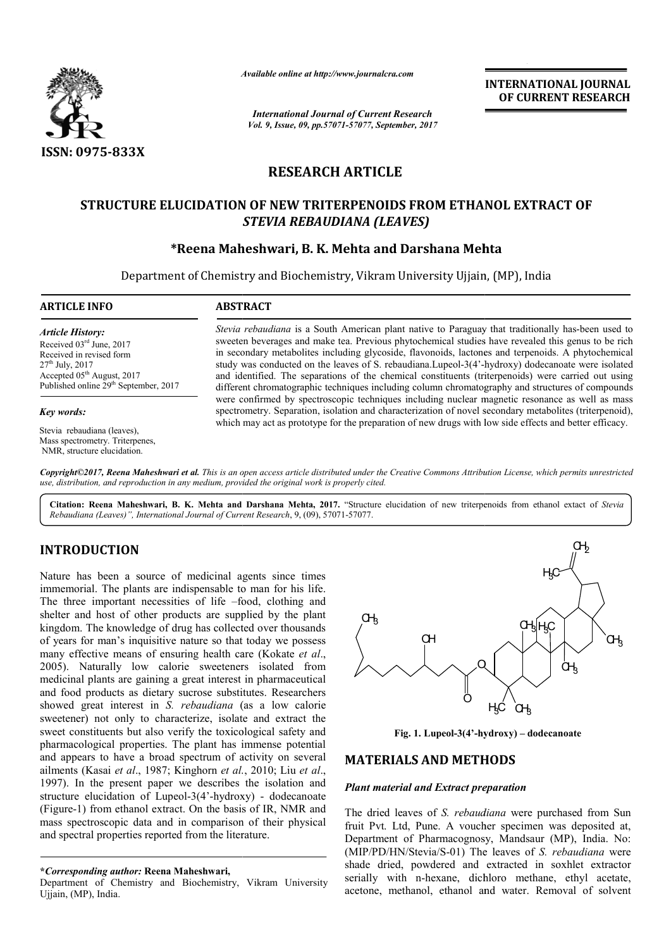

*Available online at http://www.journal http://www.journalcra.com*

*International Journal of Current Research Vol. 9, Issue, 09, pp.57071-57077, September, 2017* **INTERNATIONAL JOURNAL OF CURRENT RESEARCH** 

# **RESEARCH ARTICLE**

# **STRUCTURE ELUCIDATION OF NEW TRITERPENOIDS FROM ETHANOL STRUCTURE ELUCIDATION NEW TRITERPENOIDS EXTRACT OF**  *STEVIA REBAUDIANA (LEAVES)*

# **\*Reena Maheshwari, Reena B. K. Mehta and Darshana Mehta Mehta**

Department of Chemistry and Biochemistry, Vikram University Ujjain, (MP), India

**ARTICLE INFO ABSTRACT**

*Article History:* Received 03rd June, 2017 Received in revised form 27th July, 2017 Accepted 05<sup>th</sup> August, 2017 Published online 29<sup>th</sup> September, 2017

#### *Key words:*

Stevia rebaudiana (leaves), Mass spectrometry. Triterpenes, NMR, structure elucidation.

*Stevia rebaudiana* is a South American plant native to Paraguay that traditionally has-been used to sweeten beverages and make tea. Previous phytochemical studies have revealed this genus to be rich in secondary metabolites including glycoside, flavonoids, lactones and terpenoids. A phytochemical study was conducted on the leaves of S. rebaudiana. Lupeol-3(4'-hydroxy) dodecanoate were isolated and identified. The separations of the chemical constituents (triterpenoids) were carried out using different chromatographic techniques including column chromatography and structures of compounds sweeten beverages and make tea. Previous phytochemical studies have revealed this genus to be rich<br>in secondary metabolites including glycoside, flavonoids, lactones and terpenoids. A phytochemical<br>study was conducted on t spectrometry. Separation, isolation and characterization of novel secondary metabolites (triterpenoid), which may act as prototype for the preparation of new drugs with low side effects and better efficacy.

*Copyright©2017, Reena Maheshwari et al. This is an open access article distributed under the Creative Commons Att Attribution License, which ribution permits unrestricted use, distribution, and reproduction in any medium, provided the original work is properly cited.*

Citation: Reena Maheshwari, B. K. Mehta and Darshana Mehta, 2017. "Structure elucidation of new triterpenoids from ethanol extact of *Stevia Rebaudiana (Leaves)", International Journal of Current Research* , 9, (09), 57071-57077.

# **INTRODUCTION**

Nature has been a source of medicinal agents since times immemorial. The plants are indispensable to man for his life. The three important necessities of life -food, clothing and shelter and host of other products are supplied by the plant kingdom. The knowledge of drug has collected over thousands of years for man's inquisitive nature so that today we possess many effective means of ensuring health care (Kokate *et al*., 2005). Naturally low calorie sweeteners isolated from medicinal plants are gaining a great interest in pharmaceutical and food products as dietary sucrose substitutes. Researchers showed great interest in *S. rebaudiana* (as a low calorie sweetener) not only to characterize, isolate and extract the sweet constituents but also verify the toxicological safety and pharmacological properties. The plant has immense potential and appears to have a broad spectrum of activity on several ailments (Kasai *et al*., 1987; Kinghorn *et al.* , 2010; Liu *et al*., 1997). In the present paper we describes the isolation and structure elucidation of Lupeol-3(4'-hydroxy) - dodecanoate (Figure-1) from ethanol extract. On the basis of IR, NMR and mass spectroscopic data and in comparison of their physical and spectral properties reported from the literature. Naturally low calorie sweeteners isolated from<br>
al plants are gaining a great interest in pharmaceutical<br>
d products as dietary sucrose substitutes. Researchers<br>
great interest in *S. rebaudiana* (as a low calorie<br>
er) no

Department of Chemistry and Biochemistry, Vikram University Ujjain, (MP), India.



**Fig. 1. Lupeol-3(4'-hydroxy) hydroxy) – dodecanoate**

## **MATERIALS AND METHODS METHODS**

### *Plant material and Extract preparation*

The dried leaves of *S. rebaudiana* were purchased from Sun fruit Pvt. Ltd, Pune. A voucher specimen was deposited at, Department of Pharmacognosy, Mandsaur (MP), India. No: Department of Pharmacognosy, Mandsaur (MP), India. No: (MIP/PD/HN/Stevia/S-01) The leaves of *S. rebaudiana* were shade dried, powdered and extracted in soxhlet extractor serially with n-hexane, dichloro methane, ethyl acetate, acetone, methanol, ethanol and water. Removal of solvent

**<sup>\*</sup>***Corresponding author:* **Reena Maheshwari,**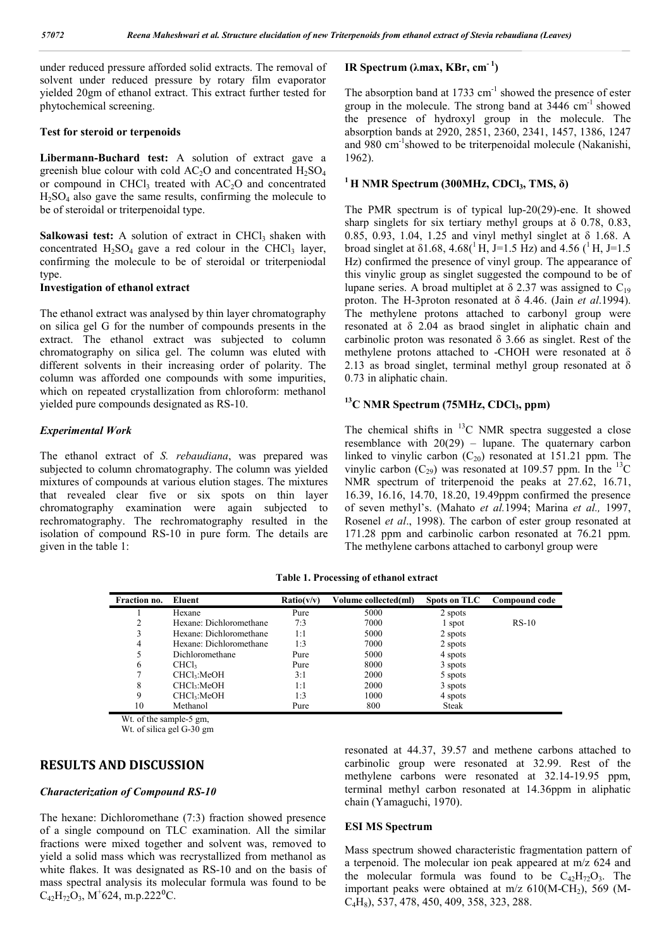under reduced pressure afforded solid extracts. The removal of solvent under reduced pressure by rotary film evaporator yielded 20gm of ethanol extract. This extract further tested for phytochemical screening.

#### **Test for steroid or terpenoids**

**Libermann-Buchard test:** A solution of extract gave a greenish blue colour with cold  $AC<sub>2</sub>O$  and concentrated  $H<sub>2</sub>SO<sub>4</sub>$ or compound in CHCl<sub>3</sub> treated with  $AC<sub>2</sub>O$  and concentrated  $H<sub>2</sub>SO<sub>4</sub>$  also gave the same results, confirming the molecule to be of steroidal or triterpenoidal type.

Salkowasi test: A solution of extract in CHCl<sub>3</sub> shaken with concentrated  $H_2SO_4$  gave a red colour in the CHCl<sub>3</sub> layer, confirming the molecule to be of steroidal or triterpeniodal type

#### **Investigation of ethanol extract**

The ethanol extract was analysed by thin layer chromatography on silica gel G for the number of compounds presents in the extract. The ethanol extract was subjected to column chromatography on silica gel. The column was eluted with different solvents in their increasing order of polarity. The column was afforded one compounds with some impurities, which on repeated crystallization from chloroform: methanol yielded pure compounds designated as RS-10.

#### *Experimental Work*

The ethanol extract of *S. rebaudiana*, was prepared was subjected to column chromatography. The column was yielded mixtures of compounds at various elution stages. The mixtures that revealed clear five or six spots on thin layer chromatography examination were again subjected to rechromatography. The rechromatography resulted in the isolation of compound RS-10 in pure form. The details are given in the table 1:

## **IR Spectrum (λmax, KBr, cm- <sup>1</sup> )**

The absorption band at  $1733 \text{ cm}^{-1}$  showed the presence of ester group in the molecule. The strong band at  $3446 \text{ cm}^{-1}$  showed the presence of hydroxyl group in the molecule. The absorption bands at 2920, 2851, 2360, 2341, 1457, 1386, 1247 and 980 cm-1 showed to be triterpenoidal molecule (Nakanishi, 1962).

#### $1$  H NMR Spectrum (300MHz, CDCl<sub>3</sub>, TMS,  $\delta$ )

The PMR spectrum is of typical lup-20(29)-ene. It showed sharp singlets for six tertiary methyl groups at  $\delta$  0.78, 0.83, 0.85, 0.93, 1.04, 1.25 and vinyl methyl singlet at δ 1.68. A broad singlet at  $\delta$ 1.68, 4.68(<sup>1</sup> H, J=1.5 Hz) and 4.56 (<sup>1</sup> H, J=1.5 Hz) confirmed the presence of vinyl group. The appearance of this vinylic group as singlet suggested the compound to be of lupane series. A broad multiplet at  $\delta$  2.37 was assigned to C<sub>19</sub> proton. The H-3proton resonated at δ 4.46. (Jain *et al*.1994). The methylene protons attached to carbonyl group were resonated at δ 2.04 as braod singlet in aliphatic chain and carbinolic proton was resonated  $\delta$  3.66 as singlet. Rest of the methylene protons attached to -CHOH were resonated at δ 2.13 as broad singlet, terminal methyl group resonated at  $\delta$ 0.73 in aliphatic chain.

## <sup>13</sup>C NMR Spectrum (75MHz, CDCl<sub>3</sub>, ppm)

The chemical shifts in  $^{13}$ C NMR spectra suggested a close resemblance with  $20(29)$  – lupane. The quaternary carbon linked to vinylic carbon  $(C_{20})$  resonated at 151.21 ppm. The vinylic carbon  $(C_{29})$  was resonated at 109.57 ppm. In the <sup>13</sup>C NMR spectrum of triterpenoid the peaks at 27.62, 16.71, 16.39, 16.16, 14.70, 18.20, 19.49ppm confirmed the presence of seven methyl's. (Mahato *et al.*1994; Marina *et al.,* 1997, Rosenel *et al*., 1998). The carbon of ester group resonated at 171.28 ppm and carbinolic carbon resonated at 76.21 ppm. The methylene carbons attached to carbonyl group were

**Table 1. Processing of ethanol extract**

| Fraction no. | Eluent                  | Ratio(v/v) | Volume collected(ml) | Spots on TLC | Compound code |
|--------------|-------------------------|------------|----------------------|--------------|---------------|
|              | Hexane                  | Pure       | 5000                 | 2 spots      |               |
| 2            | Hexane: Dichloromethane | 7:3        | 7000                 | 1 spot       | $RS-10$       |
| 3            | Hexane: Dichloromethane | 1:1        | 5000                 | 2 spots      |               |
| 4            | Hexane: Dichloromethane | 1:3        | 7000                 | 2 spots      |               |
| 5            | Dichloromethane         | Pure       | 5000                 | 4 spots      |               |
| 6            | CHCl <sub>3</sub>       | Pure       | 8000                 | 3 spots      |               |
|              | CHCl:MeOH               | 3:1        | 2000                 | 5 spots      |               |
| 8            | CHCl <sub>3</sub> :MeOH | 1:1        | 2000                 | 3 spots      |               |
| 9            | CHCl <sub>3</sub> :MeOH | 1:3        | 1000                 | 4 spots      |               |
| 10           | Methanol                | Pure       | 800                  | <b>Steak</b> |               |

Wt. of the sample-5 gm,

Wt. of silica gel G-30 gm

## **RESULTS AND DISCUSSION**

#### *Characterization of Compound RS-10*

The hexane: Dichloromethane (7:3) fraction showed presence of a single compound on TLC examination. All the similar fractions were mixed together and solvent was, removed to yield a solid mass which was recrystallized from methanol as white flakes. It was designated as RS-10 and on the basis of mass spectral analysis its molecular formula was found to be  $C_{42}H_{72}O_3$ , M<sup>+</sup>624, m.p.222<sup>o</sup>C.

resonated at 44.37, 39.57 and methene carbons attached to carbinolic group were resonated at 32.99. Rest of the methylene carbons were resonated at 32.14-19.95 ppm, terminal methyl carbon resonated at 14.36ppm in aliphatic chain (Yamaguchi, 1970).

#### **ESI MS Spectrum**

Mass spectrum showed characteristic fragmentation pattern of a terpenoid. The molecular ion peak appeared at m/z 624 and the molecular formula was found to be  $C_{42}H_{72}O_3$ . The important peaks were obtained at  $m/z$  610(M-CH<sub>2</sub>), 569 (M-C4H8), 537, 478, 450, 409, 358, 323, 288.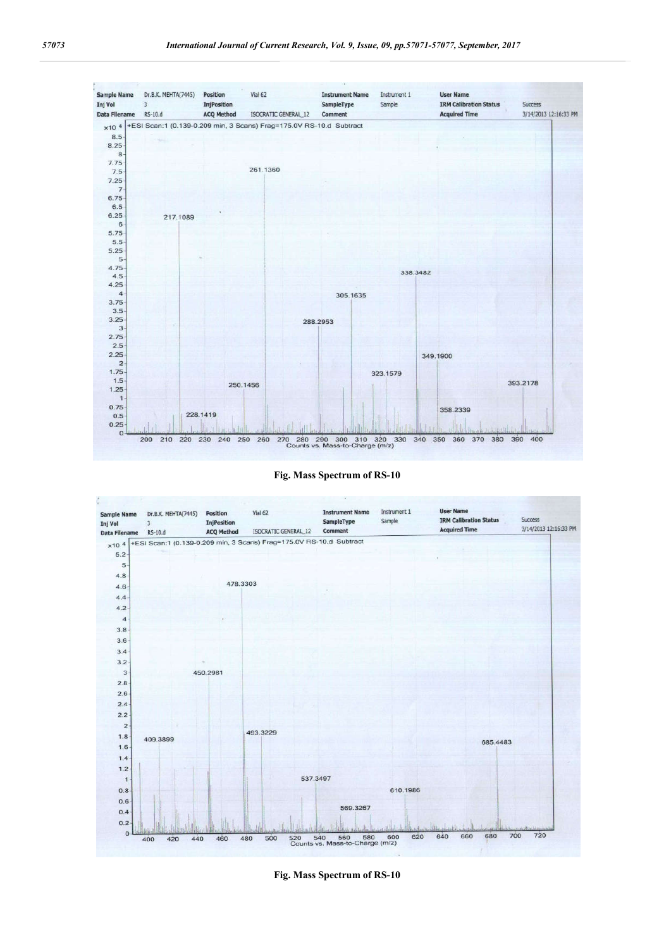





**Fig. Mass Spectrum of RS-10**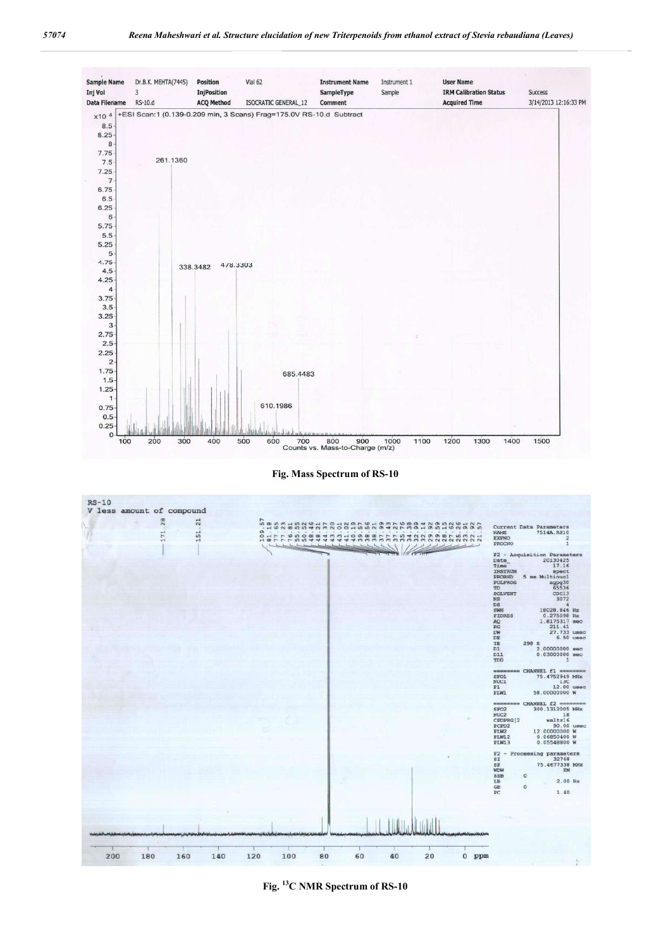

**Fig. Mass Spectrum of RS-10**



**Fig. 13C NMR Spectrum of RS-10**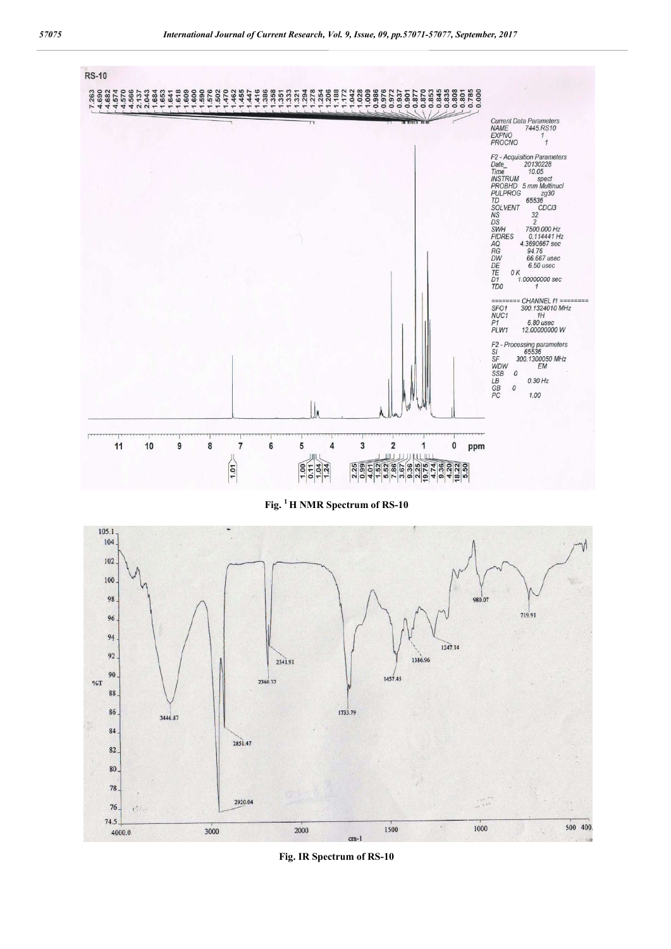

**Fig. 1 H NMR Spectrum of RS-10**



**Fig. IR Spectrum of RS-10**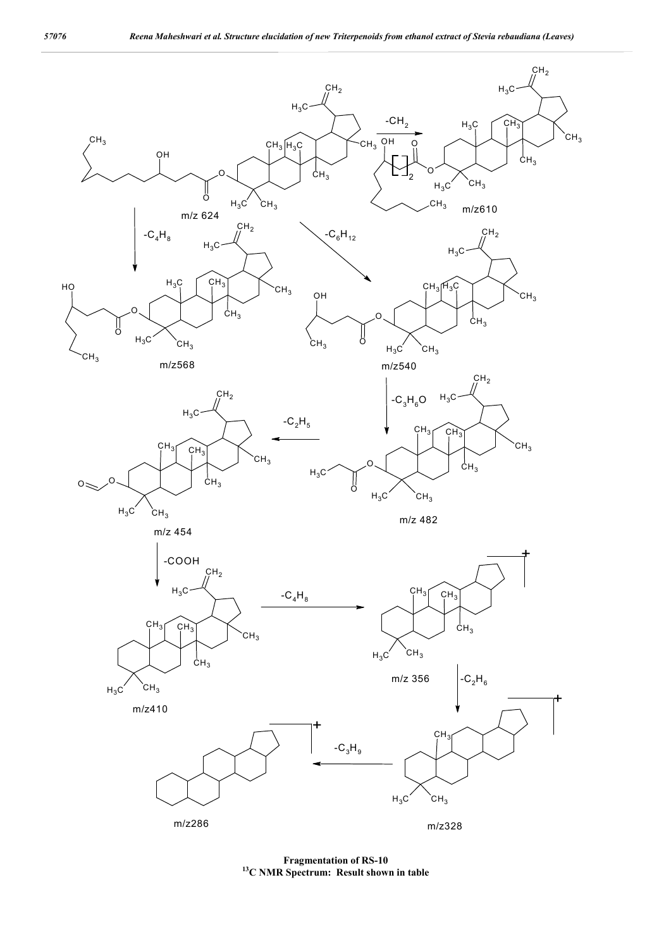

**Fragmentation of RS-10 13C NMR Spectrum: Result shown in table**